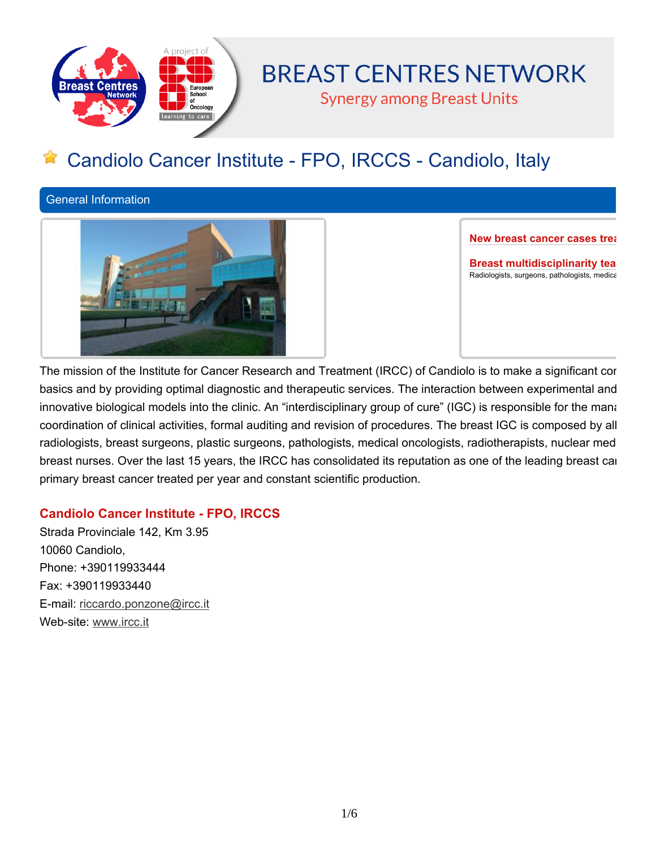

# **BREAST CENTRES NETWORK**

**Synergy among Breast Units** 

# **Candiolo Cancer Institute - FPO, IRCCS - Candiolo, Italy**

**General Information**



**New breast cancer cases freations** 

**Breast multidisciplinarity tea Radiologists, surgeons, pathologists, medical oncologists, radiotherapists and nurses**

The mission of the Institute for Cancer Research and Treatment (IRCC) of Candiolo is to make a significant cor basics and by providing optimal diagnostic and therapeutic services. The interaction between experimental and innovative biological models into the clinic. An "interdisciplinary group of cure" (IGC) is responsible for the mana coordination of clinical activities, formal auditing and revision of procedures. The breast IGC is composed by all radiologists, breast surgeons, plastic surgeons, pathologists, medical oncologists, radiotherapists, nuclear med breast nurses. Over the last 15 years, the IRCC has consolidated its reputation as one of the leading breast cal **primary breast cancer treated per year and constant scientific production.**

## **Candiolo Cancer Institute - FPO, IRCCS**

**Strada Provinciale 142, Km 3.95 10060 Candiolo, Phone: +390119933444 Fax: +390119933440 E-mail: riccardo.ponzone@ircc.it Web-site: www.ircc.it**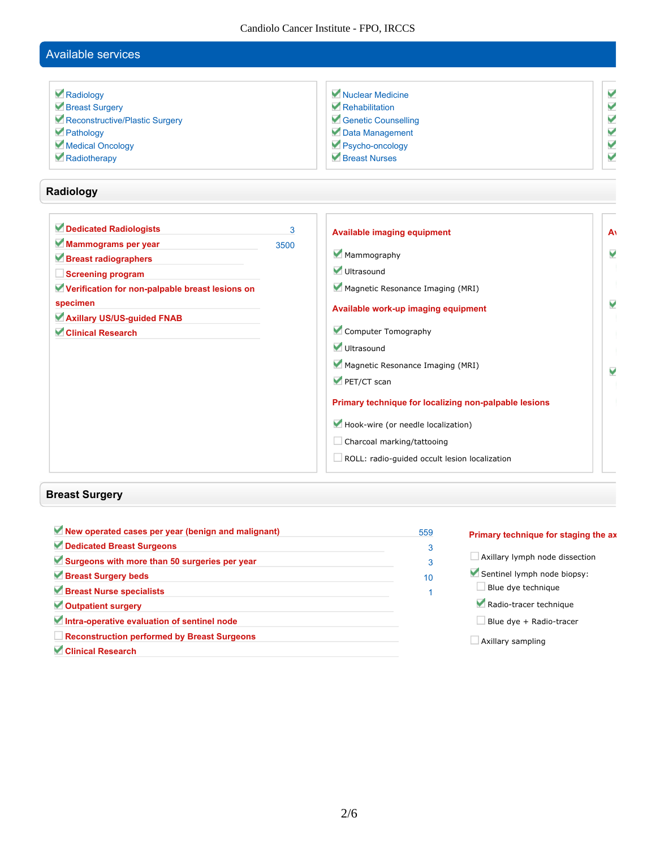Candiolo Cancer Institute - FPO, IRCCS

## **Available services**

| Radiology                      | Nuclear Medicine    |   |
|--------------------------------|---------------------|---|
| Breast Surgery                 | Rehabilitation      | V |
| Reconstructive/Plastic Surgery | Genetic Counselling | V |
| Pathology                      | Data Management     | V |
| Medical Oncology               | Psycho-oncology     |   |
| Radiotherapy                   | Breast Nurses       |   |

### **Radiology**

| Dedicated Radiologists<br>Mammograms per year   | 3<br>3500 | <b>Available imaging equipment</b>                    | A <sub>1</sub> |  |
|-------------------------------------------------|-----------|-------------------------------------------------------|----------------|--|
| Breast radiographers                            |           | Mammography                                           | V              |  |
| <b>Screening program</b>                        |           | Ultrasound                                            |                |  |
| Verification for non-palpable breast lesions on |           | Magnetic Resonance Imaging (MRI)                      |                |  |
| specimen                                        |           | Available work-up imaging equipment                   | V              |  |
| Axillary US/US-guided FNAB                      |           |                                                       |                |  |
| <b>Clinical Research</b>                        |           | Computer Tomography                                   |                |  |
|                                                 |           | Ultrasound                                            |                |  |
|                                                 |           | Magnetic Resonance Imaging (MRI)                      | V              |  |
|                                                 |           | PET/CT scan                                           |                |  |
|                                                 |           | Primary technique for localizing non-palpable lesions |                |  |
|                                                 |           | Hook-wire (or needle localization)                    |                |  |
|                                                 |           | Charcoal marking/tattooing                            |                |  |
|                                                 |           | ROLL: radio-guided occult lesion localization         |                |  |
|                                                 |           |                                                       |                |  |

## **Breast Surgery**

| New operated cases per year (benign and malignant) | 559 |
|----------------------------------------------------|-----|
| Dedicated Breast Surgeons                          | 3   |
| Surgeons with more than 50 surgeries per year      | 3   |
| Breast Surgery beds                                | 10  |
| Breast Nurse specialists                           | 1   |
| Outpatient surgery                                 |     |
| Intra-operative evaluation of sentinel node        |     |
| $\Box$ Reconstruction performed by Breast Surgeons |     |
| Clinical Research                                  |     |

#### **Primary technique for staging the axilla**

- **Axillary lymph node dissection**
- **Sentinel lymph node biopsy:**
- **Blue dye technique**
- **Radio-tracer technique**
- **Blue dye + Radio-tracer**
- **Axillary sampling**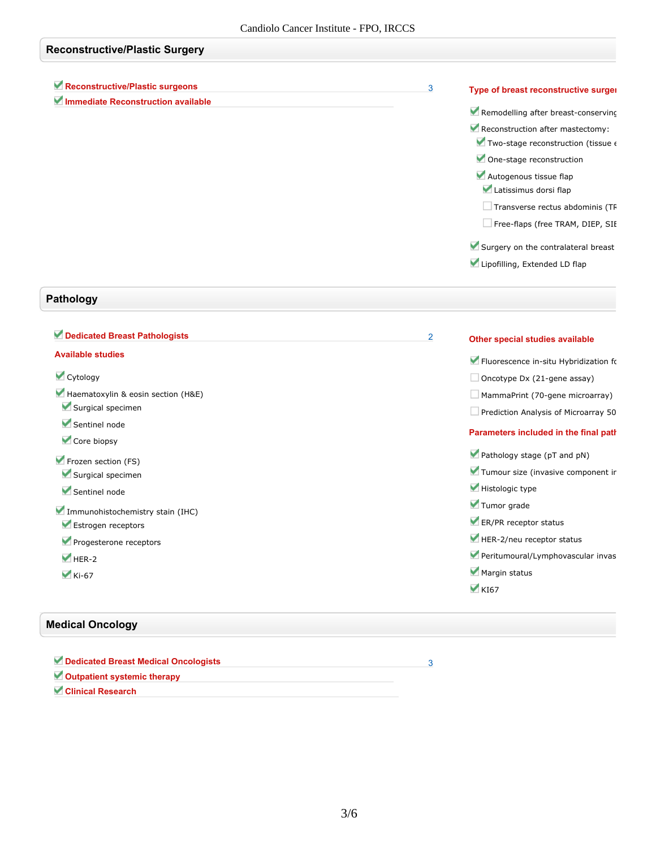# **Reconstructive/Plastic Surgery**

| Reconstructive/Plastic surgeons                | 3              | Type of breast reconstructive surger            |
|------------------------------------------------|----------------|-------------------------------------------------|
| Immediate Reconstruction available             |                | Remodelling after breast-conserving             |
|                                                |                | Reconstruction after mastectomy:                |
|                                                |                | Two-stage reconstruction (tissue ‹              |
|                                                |                | One-stage reconstruction                        |
|                                                |                | Autogenous tissue flap<br>Latissimus dorsi flap |
|                                                |                | Transverse rectus abdominis (TF                 |
|                                                |                | Free-flaps (free TRAM, DIEP, SII                |
|                                                |                | Surgery on the contralateral breast             |
|                                                |                | Lipofilling, Extended LD flap                   |
| Pathology                                      |                |                                                 |
| Dedicated Breast Pathologists                  | $\overline{2}$ | Other special studies available                 |
| <b>Available studies</b>                       |                |                                                 |
|                                                |                | Fluorescence in-situ Hybridization fo           |
| Cytology<br>Haematoxylin & eosin section (H&E) |                | Oncotype Dx (21-gene assay)                     |
| Surgical specimen                              |                | $\Box$ MammaPrint (70-gene microarray)          |
| Sentinel node                                  |                | Prediction Analysis of Microarray 50            |
| Core biopsy                                    |                | Parameters included in the final path           |
| Frozen section (FS)                            |                | Pathology stage (pT and pN)                     |
| Surgical specimen                              |                | Tumour size (invasive component ir              |
| Sentinel node                                  |                | Histologic type                                 |
| Immunohistochemistry stain (IHC)               |                | Tumor grade                                     |
| Estrogen receptors                             |                | ER/PR receptor status                           |
| Progesterone receptors                         |                | HER-2/neu receptor status                       |
| $HER-2$                                        |                | Peritumoural/Lymphovascular invas               |
|                                                |                | Margin status                                   |
| $Ki-67$                                        |                |                                                 |

## **Medical Oncology**

| Dedicated Breast Medical Oncologists |  |
|--------------------------------------|--|
| Outpatient systemic therapy          |  |
| Clinical Research                    |  |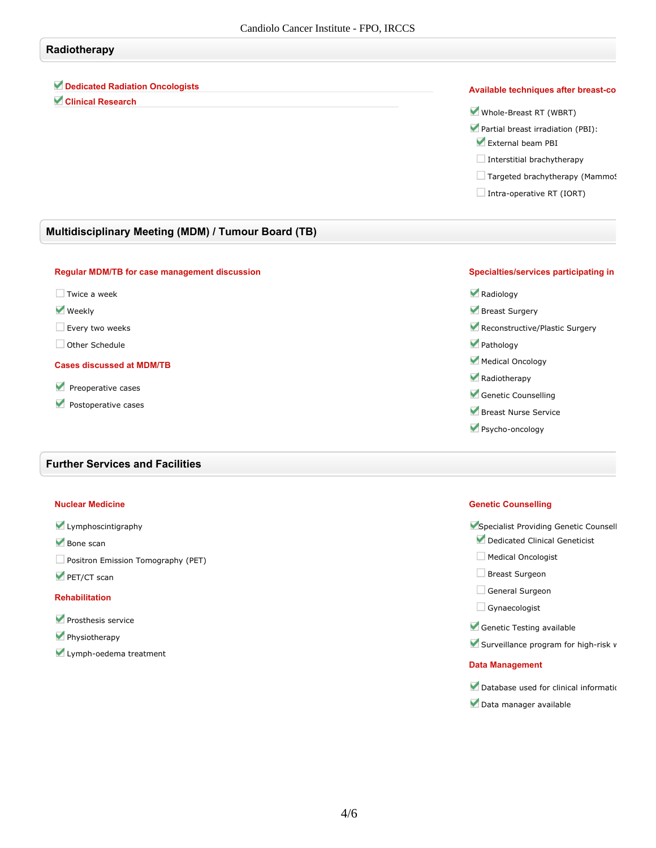## **Radiotherapy**

**Dedicated Radiation Oncologists**

**Clinical Research**

#### **Available** *techniques* after *breast-co*

**Whole-Breast RT (WBRT)**

- **Partial breast irradiation (PBI):**
- **External beam PBI**
- **Interstitial brachytherapy**
- $\Box$  **Targeted** brachytherapy (Mammo!
- **Intra-operative RT (IORT)**

### **Multidisciplinary Meeting (MDM) / Tumour Board (TB)**

#### **Regular MDM/TB for case management discussion**

- **Twice a week**
- **Weekly**

**Every two weeks**

**Other Schedule**

#### **Cases discussed at MDM/TB**

- **Preoperative cases**
- **Postoperative cases**

#### **Further Services and Facilities**

#### **Nuclear Medicine**

- **Lymphoscintigraphy**
- **Bone scan**
- **Positron Emission Tomography (PET)**
- **PET/CT scan**

#### **Rehabilitation**

- **Prosthesis service**
- **Physiotherapy**
- **Lymph-oedema treatment**

#### **Specialties/services participating in**



- **Breast Nurse Service**
- **Psycho-oncology**

#### **Genetic Counselling**

- **V** Specialist Providing Genetic Counsell **Dedicated Clinical Geneticist**
- **Medical Oncologist**
- **Breast Surgeon**
- **General Surgeon**
- **Gynaecologist**
- **Genetic Testing available**
- **V** Surveillance program for high-risk **v**

#### **Data Management**

- **Database** used for clinical information
- **Data manager available**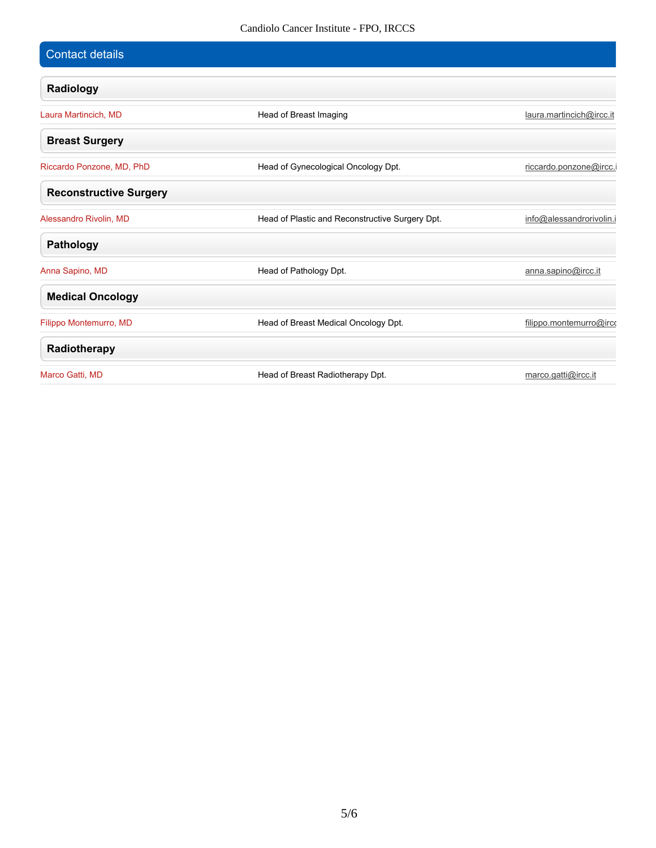| Contact details               |                                                 |                          |
|-------------------------------|-------------------------------------------------|--------------------------|
| Radiology                     |                                                 |                          |
| Laura Martincich, MD          | Head of Breast Imaging                          | laura.martincich@ircc.it |
| <b>Breast Surgery</b>         |                                                 |                          |
| Riccardo Ponzone, MD, PhD     | Head of Gynecological Oncology Dpt.             | riccardo.ponzone@ircc.   |
| <b>Reconstructive Surgery</b> |                                                 |                          |
| Alessandro Rivolin, MD        | Head of Plastic and Reconstructive Surgery Dpt. | info@alessandrorivolin.  |
| Pathology                     |                                                 |                          |
| Anna Sapino, MD               | Head of Pathology Dpt.                          | anna.sapino@ircc.it      |
| <b>Medical Oncology</b>       |                                                 |                          |
| Filippo Montemurro, MD        | Head of Breast Medical Oncology Dpt.            | filippo.montemurro@irco  |
| Radiotherapy                  |                                                 |                          |
| Marco Gatti, MD               | Head of Breast Radiotherapy Dpt.                | marco.gatti@ircc.it      |